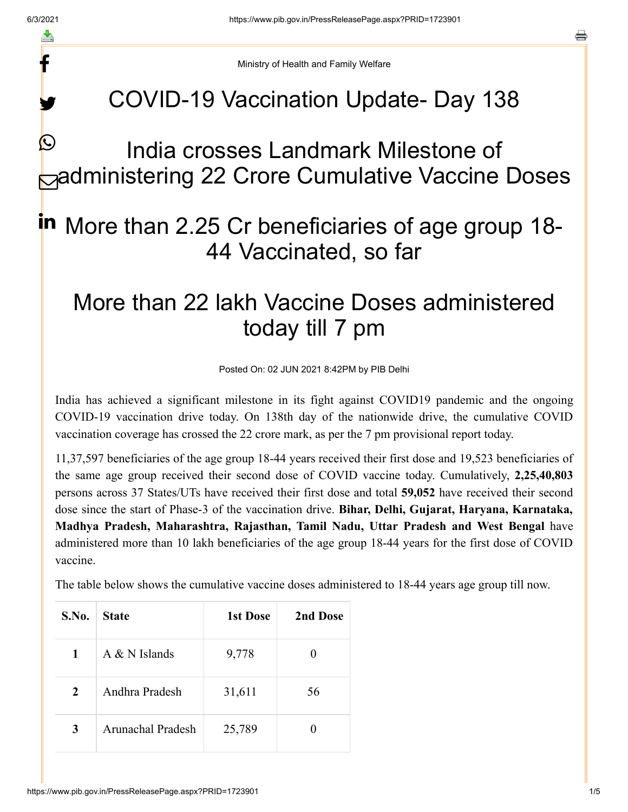f

y.

Ministry of Health and Family Welfare

## COVID-19 Vaccination Update- Day 138

## India crosses Landmark Milestone of administering 22 Crore Cumulative Vaccine Doses  $\bigcirc$

## in More than 2.25 Cr beneficiaries of age group 18-44 Vaccinated, so far

## More than 22 lakh Vaccine Doses administered today till 7 pm

Posted On: 02 JUN 2021 8:42PM by PIB Delhi

India has achieved a significant milestone in its fight against COVID19 pandemic and the ongoing COVID-19 vaccination drive today. On 138th day of the nationwide drive, the cumulative COVID vaccination coverage has crossed the 22 crore mark, as per the 7 pm provisional report today.

11,37,597 beneficiaries of the age group 18-44 years received their first dose and 19,523 beneficiaries of the same age group received their second dose of COVID vaccine today. Cumulatively, **2,25,40,803** persons across 37 States/UTs have received their first dose and total **59,052** have received their second dose since the start of Phase-3 of the vaccination drive. **Bihar, Delhi, Gujarat, Haryana, Karnataka, Madhya Pradesh, Maharashtra, Rajasthan, Tamil Nadu, Uttar Pradesh and West Bengal** have administered more than 10 lakh beneficiaries of the age group 18-44 years for the first dose of COVID vaccine.

The table below shows the cumulative vaccine doses administered to 18-44 years age group till now.

| S.No.        | <b>State</b>      | 1st Dose | 2nd Dose |
|--------------|-------------------|----------|----------|
| $\mathbf{1}$ | $A \& N$ Islands  | 9,778    |          |
| 2            | Andhra Pradesh    | 31,611   | 56       |
| 3            | Arunachal Pradesh | 25,789   |          |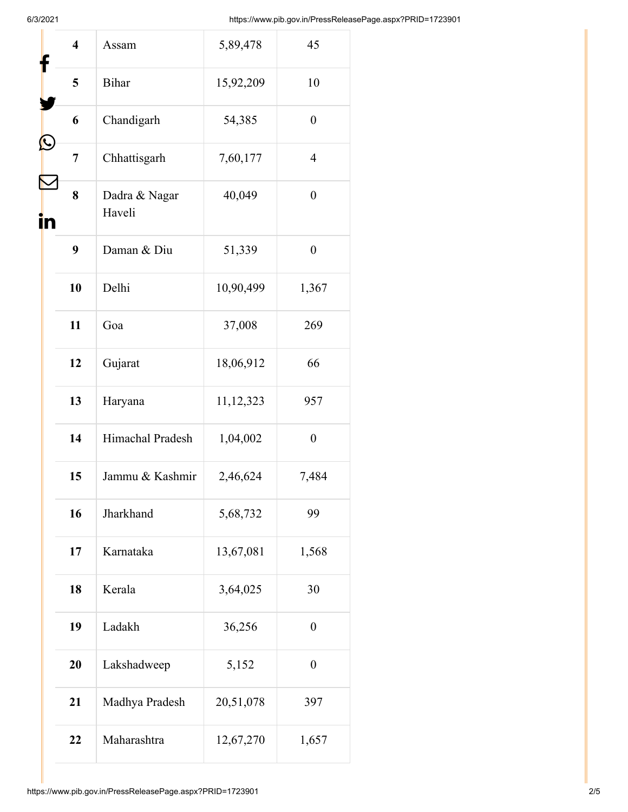6/3/2021 https://www.pib.gov.in/PressReleasePage.aspx?PRID=1723901

| $\overline{\mathbf{4}}$ | Assam                   | 5,89,478  | 45               |
|-------------------------|-------------------------|-----------|------------------|
| 5                       | Bihar                   | 15,92,209 | 10               |
| 6                       | Chandigarh              | 54,385    | $\boldsymbol{0}$ |
| 7                       | Chhattisgarh            | 7,60,177  | $\overline{4}$   |
| 8                       | Dadra & Nagar<br>Haveli | 40,049    | $\overline{0}$   |
| 9                       | Daman & Diu             | 51,339    | $\boldsymbol{0}$ |
| 10                      | Delhi                   | 10,90,499 | 1,367            |
| 11                      | Goa                     | 37,008    | 269              |
| 12                      | Gujarat                 | 18,06,912 | 66               |
| 13                      | Haryana                 | 11,12,323 | 957              |
| 14                      | Himachal Pradesh        | 1,04,002  | $\boldsymbol{0}$ |
| 15                      | Jammu & Kashmir         | 2,46,624  | 7,484            |
| 16                      | Jharkhand               | 5,68,732  | 99               |
| 17                      | Karnataka               | 13,67,081 | 1,568            |
| 18                      | Kerala                  | 3,64,025  | 30               |
| 19                      | Ladakh                  | 36,256    | $\boldsymbol{0}$ |
| 20                      | Lakshadweep             | 5,152     | $\boldsymbol{0}$ |
| 21                      | Madhya Pradesh          | 20,51,078 | 397              |
| 22                      | Maharashtra             | 12,67,270 | 1,657            |
|                         |                         |           |                  |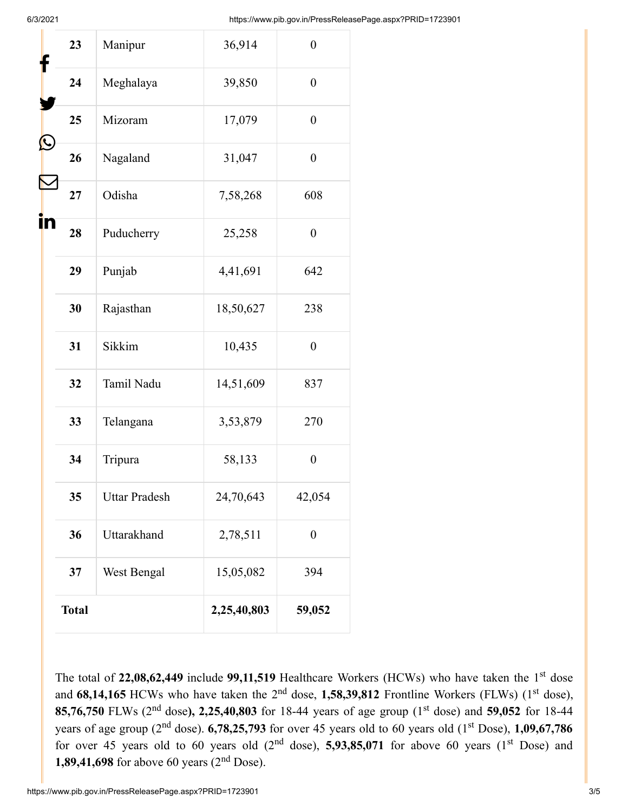6/3/2021 https://www.pib.gov.in/PressReleasePage.aspx?PRID=1723901

| <b>Total</b> |                      | 2,25,40,803 | 59,052           |
|--------------|----------------------|-------------|------------------|
| 37           | West Bengal          | 15,05,082   | 394              |
| 36           | Uttarakhand          | 2,78,511    | $\boldsymbol{0}$ |
| 35           | <b>Uttar Pradesh</b> | 24,70,643   | 42,054           |
| 34           | Tripura              | 58,133      | $\boldsymbol{0}$ |
| 33           | Telangana            | 3,53,879    | 270              |
| 32           | Tamil Nadu           | 14,51,609   | 837              |
| 31           | Sikkim               | 10,435      | $\boldsymbol{0}$ |
| 30           | Rajasthan            | 18,50,627   | 238              |
| 29           | Punjab               | 4,41,691    | 642              |
| 28           | Puducherry           | 25,258      | $\boldsymbol{0}$ |
| 27           | Odisha               | 7,58,268    | 608              |
| 26           | Nagaland             | 31,047      | $\boldsymbol{0}$ |
| 25           | Mizoram              | 17,079      | $\overline{0}$   |
| 24           | Meghalaya            | 39,850      | $\boldsymbol{0}$ |
| 23           | Manipur              | 36,914      | $\boldsymbol{0}$ |

The total of 22,08,62,449 include 99,11,519 Healthcare Workers (HCWs) who have taken the 1<sup>st</sup> dose and 68,14,165 HCWs who have taken the 2<sup>nd</sup> dose, 1,58,39,812 Frontline Workers (FLWs) (1<sup>st</sup> dose), 85,76,750 FLWs (2<sup>nd</sup> dose), 2,25,40,803 for 18-44 years of age group (1<sup>st</sup> dose) and 59,052 for 18-44 years of age group ( $2<sup>nd</sup>$  dose). **6,78,25,793** for over 45 years old to 60 years old ( $1<sup>st</sup>$  Dose), **1,09,67,786** for over 45 years old to 60 years old  $(2<sup>nd</sup> dose)$ , **5,93,85,071** for above 60 years  $(1<sup>st</sup> Does)$  and **1,89,41,698** for above 60 years  $(2<sup>nd</sup>$  Dose).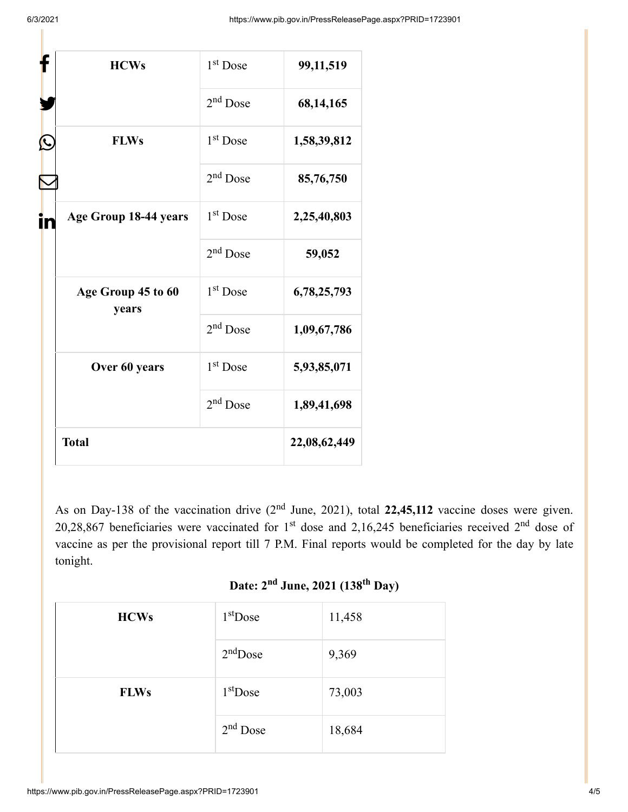|  | <b>HCWs</b>                 | 1 <sup>st</sup> Dose | 99,11,519    |
|--|-----------------------------|----------------------|--------------|
|  |                             | $2nd$ Dose           | 68,14,165    |
|  | <b>FLWs</b>                 | 1 <sup>st</sup> Dose | 1,58,39,812  |
|  |                             | $2nd$ Dose           | 85,76,750    |
|  | Age Group 18-44 years       | 1 <sup>st</sup> Dose | 2,25,40,803  |
|  |                             | $2nd$ Dose           | 59,052       |
|  | Age Group 45 to 60<br>years | 1 <sup>st</sup> Dose | 6,78,25,793  |
|  |                             | $2nd$ Dose           | 1,09,67,786  |
|  | Over 60 years               | 1 <sup>st</sup> Dose | 5,93,85,071  |
|  |                             | 2 <sup>nd</sup> Dose | 1,89,41,698  |
|  | <b>Total</b>                |                      | 22,08,62,449 |

As on Day-138 of the vaccination drive  $(2<sup>nd</sup>$  June, 2021), total 22,45,112 vaccine doses were given. 20,28,867 beneficiaries were vaccinated for 1<sup>st</sup> dose and 2,16,245 beneficiaries received 2<sup>nd</sup> dose of vaccine as per the provisional report till 7 P.M. Final reports would be completed for the day by late tonight.

|  |  |  |  | Date: 2 <sup>nd</sup> June, 2021 (138 <sup>th</sup> Day) |  |
|--|--|--|--|----------------------------------------------------------|--|
|--|--|--|--|----------------------------------------------------------|--|

| <b>HCWs</b> | $1st$ Dose | 11,458 |
|-------------|------------|--------|
|             | $2nd$ Dose | 9,369  |
| <b>FLWs</b> | $1st$ Dose | 73,003 |
|             | $2nd$ Dose | 18,684 |